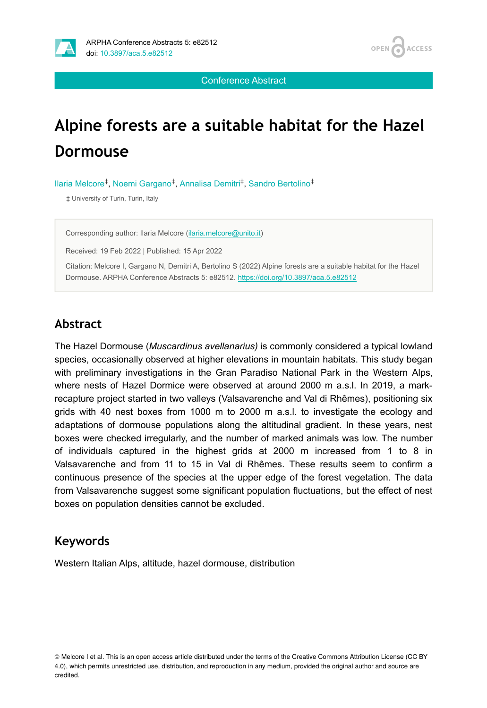

Conference Abstract

# **Alpine forests are a suitable habitat for the Hazel Dormouse**

Ilaria Melcore<sup>‡</sup>, Noemi Gargano<sup>‡</sup>, Annalisa Demitri<sup>‡</sup>, Sandro Bertolino<sup>‡</sup>

‡ University of Turin, Turin, Italy

Corresponding author: Ilaria Melcore ([ilaria.melcore@unito.it](mailto:ilaria.melcore@unito.it))

Received: 19 Feb 2022 | Published: 15 Apr 2022

Citation: Melcore I, Gargano N, Demitri A, Bertolino S (2022) Alpine forests are a suitable habitat for the Hazel Dormouse. ARPHA Conference Abstracts 5: e82512.<https://doi.org/10.3897/aca.5.e82512>

## **Abstract**

The Hazel Dormouse (*Muscardinus avellanarius)* is commonly considered a typical lowland species, occasionally observed at higher elevations in mountain habitats. This study began with preliminary investigations in the Gran Paradiso National Park in the Western Alps, where nests of Hazel Dormice were observed at around 2000 m a.s.l. In 2019, a markrecapture project started in two valleys (Valsavarenche and Val di Rhêmes), positioning six grids with 40 nest boxes from 1000 m to 2000 m a.s.l. to investigate the ecology and adaptations of dormouse populations along the altitudinal gradient. In these years, nest boxes were checked irregularly, and the number of marked animals was low. The number of individuals captured in the highest grids at 2000 m increased from 1 to 8 in Valsavarenche and from 11 to 15 in Val di Rhêmes. These results seem to confirm a continuous presence of the species at the upper edge of the forest vegetation. The data from Valsavarenche suggest some significant population fluctuations, but the effect of nest boxes on population densities cannot be excluded.

#### **Keywords**

Western Italian Alps, altitude, hazel dormouse, distribution

<sup>©</sup> Melcore I et al. This is an open access article distributed under the terms of the Creative Commons Attribution License (CC BY 4.0), which permits unrestricted use, distribution, and reproduction in any medium, provided the original author and source are credited.